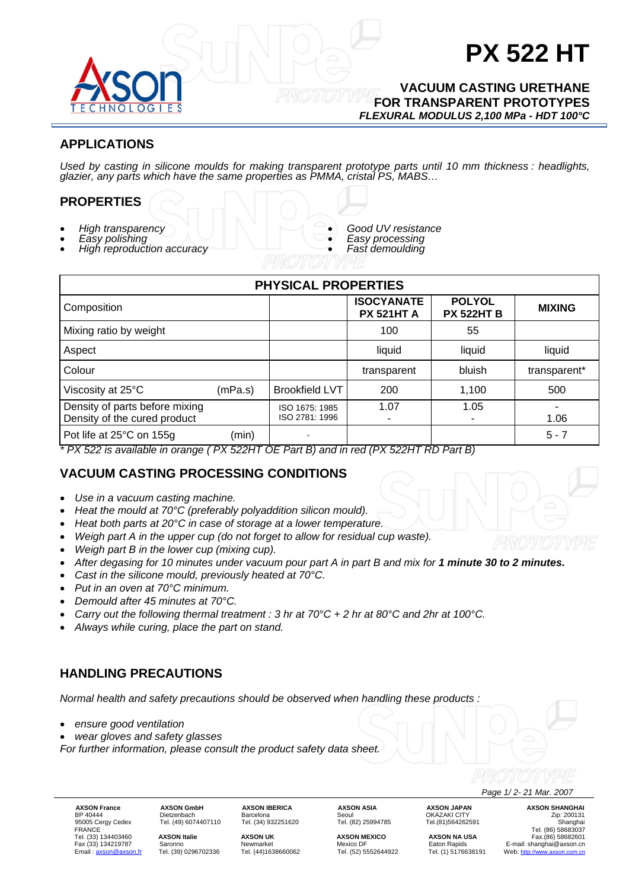

# **PX 522 HT**

#### **VACUUM CASTING URETHANE FOR TRANSPARENT PROTOTYPES**  *FLEXURAL MODULUS 2,100 MPa - HDT 100°C*

## **APPLICATIONS**

*Used by casting in silicone moulds for making transparent prototype parts until 10 mm thickness : headlights, glazier, any parts which have the same properties as PMMA, cristal PS, MABS…* 

### **PROPERTIES**

- 
- *High transparency Easy polishing High reproduction accuracy*
- 
- *Good UV resistance Easy processing Fast demoulding*
- 
- 

| <b>PHYSICAL PROPERTIES</b>                                     |         |                                  |                                              |                                    |               |  |  |
|----------------------------------------------------------------|---------|----------------------------------|----------------------------------------------|------------------------------------|---------------|--|--|
| Composition                                                    |         |                                  | <b>ISOCYANATE</b><br><b>PX 521HT A</b>       | <b>POLYOL</b><br><b>PX 522HT B</b> | <b>MIXING</b> |  |  |
| Mixing ratio by weight                                         |         |                                  | 100                                          | 55                                 |               |  |  |
| Aspect                                                         |         |                                  | liquid                                       | liquid                             | liquid        |  |  |
| Colour                                                         |         |                                  | transparent                                  | bluish                             | transparent*  |  |  |
| Viscosity at 25°C                                              | (mPa.s) | <b>Brookfield LVT</b>            | 200                                          | 1,100                              | 500           |  |  |
| Density of parts before mixing<br>Density of the cured product |         | ISO 1675: 1985<br>ISO 2781: 1996 | 1.07                                         | 1.05<br>۰                          | 1.06          |  |  |
| Pot life at 25°C on 155g                                       | (min)   |                                  | $(ENFOMIT OF D. (D) \cup (INFOMIT PROD. (D)$ |                                    | $5 - 7$       |  |  |

*\* PX 522 is available in orange ( PX 522HT OE Part B) and in red (PX 522HT RD Part B)* 

## **VACUUM CASTING PROCESSING CONDITIONS**

- *Use in a vacuum casting machine.*
- *Heat the mould at 70°C (preferably polyaddition silicon mould).*
- *Heat both parts at 20°C in case of storage at a lower temperature.*
- *Weigh part A in the upper cup (do not forget to allow for residual cup waste).*
- *Weigh part B in the lower cup (mixing cup).*
- *After degasing for 10 minutes under vacuum pour part A in part B and mix for 1 minute 30 to 2 minutes.*
- *Cast in the silicone mould, previously heated at 70°C.*
- *Put in an oven at 70°C minimum.*
- *Demould after 45 minutes at 70°C.*
- *Carry out the following thermal treatment : 3 hr at 70°C + 2 hr at 80°C and 2hr at 100°C.*
- *Always while curing, place the part on stand.*

## **HANDLING PRECAUTIONS**

*Normal health and safety precautions should be observed when handling these products :* 

• *ensure good ventilation* 

• *wear gloves and safety glasses* 

*For further information, please consult the product safety data sheet.* 

Email : <u>axson@axson.fr</u> Tel. (39) 0296702336

**AXSON France AXSON GmbH AXSON IBERICA AXSON ASIA AXSON JAPAN AXSON SHANGHAI**<br>BP 40444 Dietzenbach Barcelona Seoul OKAZAKI CITY ORAZARI Zip: 200131<br>95005 Cergy Cedex Tel. (49) 6074407110 Tel. (34) 932251620 Tel. (82) 25994 BP 40444 Dietzenbach Barcelona Seoul OKAZAKI CITY Zip: 200131

 *Page 1/ 2- 21 Mar. 2007* 

95005 Ceremain Ceremain Ceremain Ceremain Ceremain Ceremain Ceremain Ceremain Ceremain Ceremain Ceremain Cerem<br>195005 Cergy Cedex Tel. (49) 6074407110 Tel. (34) 932251620 Tel. (82) 25994785 Tel.(81)564262591 Tel. (86) 586 FRANCE Tel. (86) 58683037 Tel. (33) 134403460 **AXSON Italie AXSON UK AXSON MEXICO AXSON NA USA** Fax.(86) 58682601 Fax (33) 134219787 Saronno Newmarket Newmarket Mexico DF Eaton Rapids E-mail: shanghai@axson.cn<br>Email: <u>axson@axson.fr</u> Tel. (39) 0296702336 Tel. (44)1638660062 Tel. (52) 5552644922 Tel. (1) 5176638191 Web: <u>http://www.axs</u>